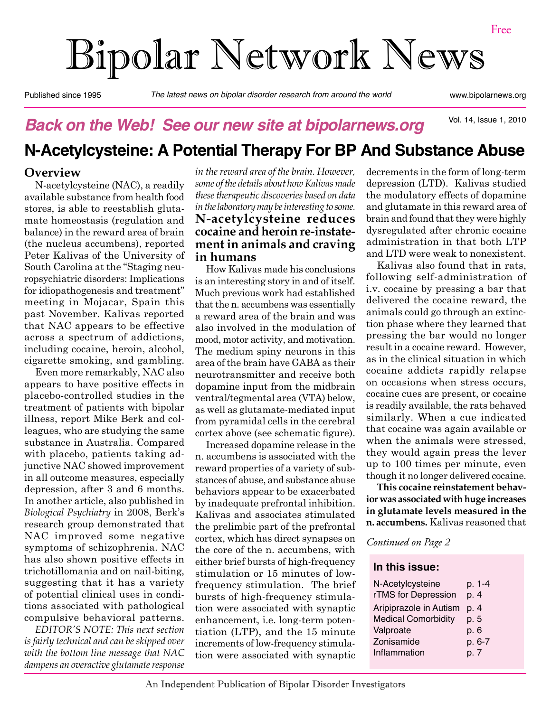# Bipolar Network News

Published since 1995 *The latest news on bipolar disorder research from around the world* www.bipolarnews.org

Vol. 14, Issue 1, 2010

## *Back on the Web! See our new site at bipolarnews.org*

# **N-Acetylcysteine: A Potential Therapy For BP And Substance Abuse**

#### **Overview**

N-acetylcysteine (NAC), a readily available substance from health food stores, is able to reestablish glutamate homeostasis (regulation and balance) in the reward area of brain (the nucleus accumbens), reported Peter Kalivas of the University of South Carolina at the "Staging neuropsychiatric disorders: Implications for idiopathogenesis and treatment" meeting in Mojacar, Spain this past November. Kalivas reported that NAC appears to be effective across a spectrum of addictions, including cocaine, heroin, alcohol, cigarette smoking, and gambling.

Even more remarkably, NAC also appears to have positive effects in placebo-controlled studies in the treatment of patients with bipolar illness, report Mike Berk and colleagues, who are studying the same substance in Australia. Compared with placebo, patients taking adjunctive NAC showed improvement in all outcome measures, especially depression, after 3 and 6 months. In another article, also published in *Biological Psychiatry* in 2008, Berk's research group demonstrated that NAC improved some negative symptoms of schizophrenia. NAC has also shown positive effects in trichotillomania and on nail-biting, suggesting that it has a variety of potential clinical uses in conditions associated with pathological compulsive behavioral patterns.

*EDITOR'S NOTE: This next section is fairly technical and can be skipped over with the bottom line message that NAC dampens an overactive glutamate response*  *in the reward area of the brain. However, some of the details about how Kalivas made these therapeutic discoveries based on data in the laboratory may be interesting to some.* **N-acetylcysteine reduces cocaine and heroin re-instatement in animals and craving in humans**

How Kalivas made his conclusions is an interesting story in and of itself. Much previous work had established that the n. accumbens was essentially a reward area of the brain and was also involved in the modulation of mood, motor activity, and motivation. The medium spiny neurons in this area of the brain have GABA as their neurotransmitter and receive both dopamine input from the midbrain ventral/tegmental area (VTA) below, as well as glutamate-mediated input from pyramidal cells in the cerebral cortex above (see schematic figure).

Increased dopamine release in the n. accumbens is associated with the reward properties of a variety of substances of abuse, and substance abuse behaviors appear to be exacerbated by inadequate prefrontal inhibition. Kalivas and associates stimulated the prelimbic part of the prefrontal cortex, which has direct synapses on the core of the n. accumbens, with either brief bursts of high-frequency stimulation or 15 minutes of lowfrequency stimulation. The brief bursts of high-frequency stimulation were associated with synaptic enhancement, i.e. long-term potentiation (LTP), and the 15 minute increments of low-frequency stimulation were associated with synaptic decrements in the form of long-term depression (LTD). Kalivas studied the modulatory effects of dopamine and glutamate in this reward area of brain and found that they were highly dysregulated after chronic cocaine administration in that both LTP and LTD were weak to nonexistent.

Kalivas also found that in rats, following self-administration of i.v. cocaine by pressing a bar that delivered the cocaine reward, the animals could go through an extinction phase where they learned that pressing the bar would no longer result in a cocaine reward. However, as in the clinical situation in which cocaine addicts rapidly relapse on occasions when stress occurs, cocaine cues are present, or cocaine is readily available, the rats behaved similarly. When a cue indicated that cocaine was again available or when the animals were stressed, they would again press the lever up to 100 times per minute, even though it no longer delivered cocaine.

**This cocaine reinstatement behavior was associated with huge increases in glutamate levels measured in the n. accumbens.** Kalivas reasoned that

*Continued on Page 2*

#### **In this issue:**

| N-Acetylcysteine           | p. 1-4 |
|----------------------------|--------|
| rTMS for Depression        | p. 4   |
| Aripiprazole in Autism     | p. 4   |
| <b>Medical Comorbidity</b> | p. 5   |
| Valproate                  | p. 6   |
| Zonisamide                 | p. 6-7 |
| Inflammation               | p. 7   |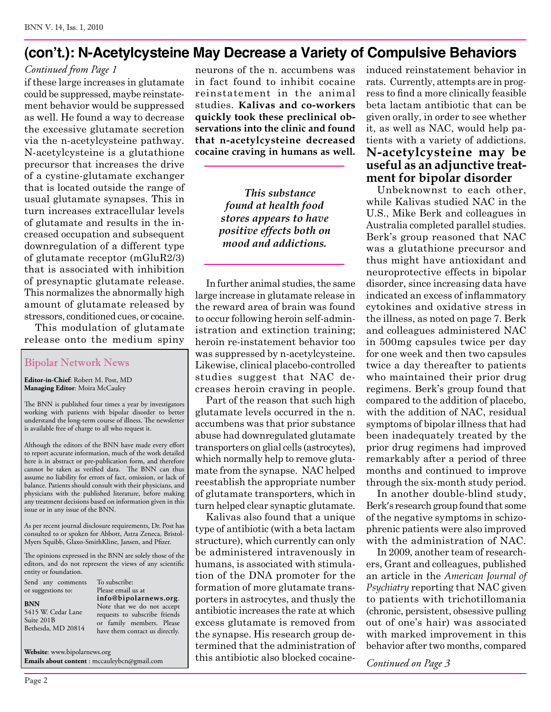## **(con't.): N-Acetylcysteine May Decrease a Variety of Compulsive Behaviors**

#### *Continued from Page 1*

if these large increases in glutamate could be suppressed, maybe reinstatement behavior would be suppressed as well. He found a way to decrease the excessive glutamate secretion via the n-acetylcysteine pathway. N-acetylcysteine is a glutathione precursor that increases the drive of a cystine-glutamate exchanger that is located outside the range of usual glutamate synapses. This in turn increases extracellular levels of glutamate and results in the increased occupation and subsequent downregulation of a different type of glutamate receptor (mGluR2/3) that is associated with inhibition of presynaptic glutamate release. This normalizes the abnormally high amount of glutamate released by stressors, conditioned cues, or cocaine.

This modulation of glutamate release onto the medium spiny

#### Bipolar Network News

**Editor-in-Chief**: Robert M. Post, MD **Managing Editor**: Moira McCauley

The BNN is published four times a year by investigators working with patients with bipolar disorder to better understand the long-term course of illness. The newsletter is available free of charge to all who request it.

Although the editors of the BNN have made every effort to report accurate information, much of the work detailed here is in abstract or pre-publication form, and therefore cannot be taken as verified data. The BNN can thus assume no liability for errors of fact, omission, or lack of balance. Patients should consult with their physicians, and physicians with the published literature, before making any treatment decisions based on information given in this issue or in any issue of the BNN.

As per recent journal disclosure requirements, Dr. Post has consulted to or spoken for Abbott, Astra Zeneca, Bristol-Myers Squibb, Glaxo-SmithKline, Jansen, and Pfizer.

The opinions expressed in the BNN are solely those of the editors, and do not represent the views of any scientific entity or foundation.

To subscribe:

Send any comments or suggestions to:

**BNN** 5415 W. Cedar Lane Suite 201B Bethesda, MD 20814

Please email us at **info@bipolarnews.org**. Note that we do not accept requests to subscribe friends or family members. Please have them contact us directly.

**Website**: www.bipolarnews.org **Emails about content** : mccauleybcn@gmail.com neurons of the n. accumbens was in fact found to inhibit cocaine reinstatement in the animal studies. **Kalivas and co-workers quickly took these preclinical observations into the clinic and found that n-acetylcysteine decreased cocaine craving in humans as well.**

> *This substance found at health food stores appears to have positive effects both on mood and addictions.*

In further animal studies, the same large increase in glutamate release in the reward area of brain was found to occur following heroin self-administration and extinction training; heroin re-instatement behavior too was suppressed by n-acetylcysteine. Likewise, clinical placebo-controlled studies suggest that NAC decreases heroin craving in people.

Part of the reason that such high glutamate levels occurred in the n. accumbens was that prior substance abuse had downregulated glutamate transporters on glial cells (astrocytes), which normally help to remove glutamate from the synapse. NAC helped reestablish the appropriate number of glutamate transporters, which in turn helped clear synaptic glutamate.

Kalivas also found that a unique type of antibiotic (with a beta lactam structure), which currently can only be administered intravenously in humans, is associated with stimulation of the DNA promoter for the formation of more glutamate transporters in astrocytes, and thusly the antibiotic increases the rate at which excess glutamate is removed from the synapse. His research group determined that the administration of this antibiotic also blocked cocaineinduced reinstatement behavior in rats. Currently, attempts are in progress to find a more clinically feasible beta lactam antibiotic that can be given orally, in order to see whether it, as well as NAC, would help patients with a variety of addictions. **N-acetylcysteine may be useful as an adjunctive treatment for bipolar disorder**

Unbeknownst to each other, while Kalivas studied NAC in the U.S., Mike Berk and colleagues in Australia completed parallel studies. Berk's group reasoned that NAC was a glutathione precursor and thus might have antioxidant and neuroprotective effects in bipolar disorder, since increasing data have indicated an excess of inflammatory cytokines and oxidative stress in the illness, as noted on page 7. Berk and colleagues administered NAC in 500mg capsules twice per day for one week and then two capsules twice a day thereafter to patients who maintained their prior drug regimens. Berk's group found that compared to the addition of placebo, with the addition of NAC, residual symptoms of bipolar illness that had been inadequately treated by the prior drug regimens had improved remarkably after a period of three months and continued to improve through the six-month study period.

In another double-blind study, Berk's research group found that some of the negative symptoms in schizophrenic patients were also improved with the administration of NAC.

In 2009, another team of researchers, Grant and colleagues, published an article in the *American Journal of Psychiatry* reporting that NAC given to patients with trichotillomania (chronic, persistent, obsessive pulling out of one's hair) was associated with marked improvement in this behavior after two months, compared

*Continued on Page 3*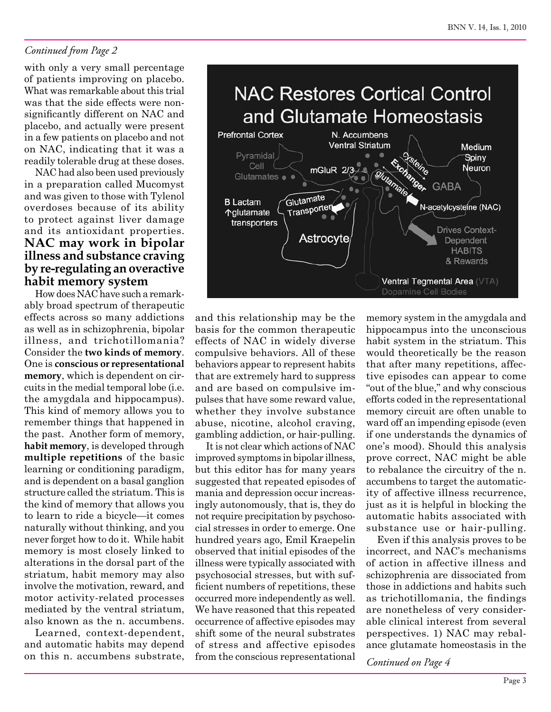#### *Continued from Page 2*

with only a very small percentage of patients improving on placebo. What was remarkable about this trial was that the side effects were nonsignificantly different on NAC and placebo, and actually were present in a few patients on placebo and not on NAC, indicating that it was a readily tolerable drug at these doses.

NAC had also been used previously in a preparation called Mucomyst and was given to those with Tylenol overdoses because of its ability to protect against liver damage and its antioxidant properties. **NAC may work in bipolar illness and substance craving by re-regulating an overactive habit memory system**

How does NAC have such a remarkably broad spectrum of therapeutic effects across so many addictions as well as in schizophrenia, bipolar illness, and trichotillomania? Consider the **two kinds of memory**. One is **conscious or representational memory**, which is dependent on circuits in the medial temporal lobe (i.e. the amygdala and hippocampus). This kind of memory allows you to remember things that happened in the past. Another form of memory, **habit memory**, is developed through **multiple repetitions** of the basic learning or conditioning paradigm, and is dependent on a basal ganglion structure called the striatum. This is the kind of memory that allows you to learn to ride a bicycle—it comes naturally without thinking, and you never forget how to do it. While habit memory is most closely linked to alterations in the dorsal part of the striatum, habit memory may also involve the motivation, reward, and motor activity-related processes mediated by the ventral striatum, also known as the n. accumbens.

Learned, context-dependent, and automatic habits may depend on this n. accumbens substrate,



and this relationship may be the basis for the common therapeutic effects of NAC in widely diverse compulsive behaviors. All of these behaviors appear to represent habits that are extremely hard to suppress and are based on compulsive impulses that have some reward value, whether they involve substance abuse, nicotine, alcohol craving, gambling addiction, or hair-pulling.

It is not clear which actions of NAC improved symptoms in bipolar illness, but this editor has for many years suggested that repeated episodes of mania and depression occur increasingly autonomously, that is, they do not require precipitation by psychosocial stresses in order to emerge. One hundred years ago, Emil Kraepelin observed that initial episodes of the illness were typically associated with psychosocial stresses, but with sufficient numbers of repetitions, these occurred more independently as well. We have reasoned that this repeated occurrence of affective episodes may shift some of the neural substrates of stress and affective episodes from the conscious representational

memory system in the amygdala and hippocampus into the unconscious habit system in the striatum. This would theoretically be the reason that after many repetitions, affective episodes can appear to come "out of the blue," and why conscious efforts coded in the representational memory circuit are often unable to ward off an impending episode (even if one understands the dynamics of one's mood). Should this analysis prove correct, NAC might be able to rebalance the circuitry of the n. accumbens to target the automaticity of affective illness recurrence, just as it is helpful in blocking the automatic habits associated with substance use or hair-pulling.

Even if this analysis proves to be incorrect, and NAC's mechanisms of action in affective illness and schizophrenia are dissociated from those in addictions and habits such as trichotillomania, the findings are nonetheless of very considerable clinical interest from several perspectives. 1) NAC may rebalance glutamate homeostasis in the

*Continued on Page 4*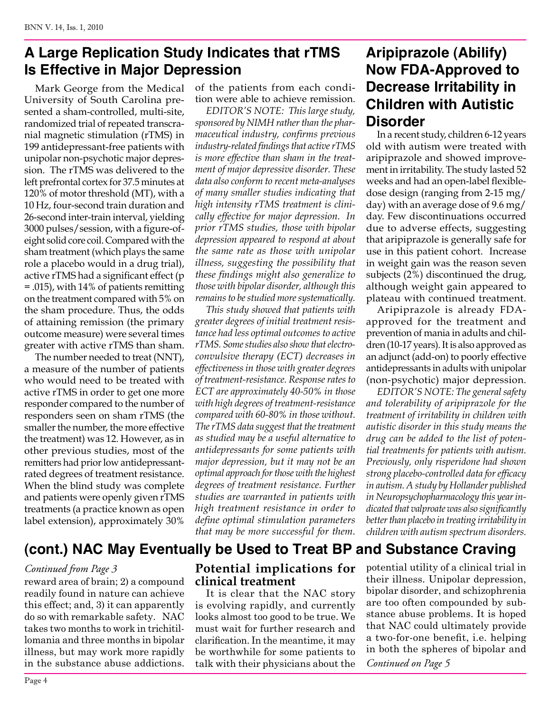## **A Large Replication Study Indicates that rTMS Is Effective in Major Depression**

Mark George from the Medical University of South Carolina presented a sham-controlled, multi-site, randomized trial of repeated transcranial magnetic stimulation (rTMS) in 199 antidepressant-free patients with unipolar non-psychotic major depression. The rTMS was delivered to the left prefrontal cortex for 37.5 minutes at 120% of motor threshold (MT), with a 10 Hz, four-second train duration and 26-second inter-train interval, yielding 3000 pulses/session, with a figure-ofeight solid core coil. Compared with the sham treatment (which plays the same role a placebo would in a drug trial), active rTMS had a significant effect (p = .015), with 14% of patients remitting on the treatment compared with 5% on the sham procedure. Thus, the odds of attaining remission (the primary outcome measure) were several times greater with active rTMS than sham.

The number needed to treat (NNT), a measure of the number of patients who would need to be treated with active rTMS in order to get one more responder compared to the number of responders seen on sham rTMS (the smaller the number, the more effective the treatment) was 12. However, as in other previous studies, most of the remitters had prior low antidepressantrated degrees of treatment resistance. When the blind study was complete and patients were openly given rTMS treatments (a practice known as open label extension), approximately 30%

of the patients from each condition were able to achieve remission.

*EDITOR'S NOTE: This large study, sponsored by NIMH rather than the pharmaceutical industry, confirms previous industry-related findings that active rTMS is more effective than sham in the treatment of major depressive disorder. These data also conform to recent meta-analyses of many smaller studies indicating that high intensity rTMS treatment is clinically effective for major depression. In prior rTMS studies, those with bipolar depression appeared to respond at about the same rate as those with unipolar illness, suggesting the possibility that these findings might also generalize to those with bipolar disorder, although this remains to be studied more systematically.* 

*This study showed that patients with greater degrees of initial treatment resistance had less optimal outcomes to active rTMS. Some studies also show that electroconvulsive therapy (ECT) decreases in effectiveness in those with greater degrees of treatment-resistance. Response rates to ECT are approximately 40-50% in those with high degrees of treatment-resistance compared with 60-80% in those without. The rTMS data suggest that the treatment as studied may be a useful alternative to antidepressants for some patients with major depression, but it may not be an optimal approach for those with the highest degrees of treatment resistance. Further studies are warranted in patients with high treatment resistance in order to define optimal stimulation parameters that may be more successful for them.*

## **Aripiprazole (Abilify) Now FDA-Approved to Decrease Irritability in Children with Autistic Disorder**

In a recent study, children 6-12 years old with autism were treated with aripiprazole and showed improvement in irritability. The study lasted 52 weeks and had an open-label flexibledose design (ranging from 2-15 mg/ day) with an average dose of 9.6 mg/ day. Few discontinuations occurred due to adverse effects, suggesting that aripiprazole is generally safe for use in this patient cohort. Increase in weight gain was the reason seven subjects (2%) discontinued the drug, although weight gain appeared to plateau with continued treatment.

Aripiprazole is already FDAapproved for the treatment and prevention of mania in adults and children (10-17 years). It is also approved as an adjunct (add-on) to poorly effective antidepressants in adults with unipolar (non-psychotic) major depression.

*EDITOR'S NOTE: The general safety and tolerability of aripiprazole for the treatment of irritability in children with autistic disorder in this study means the drug can be added to the list of potential treatments for patients with autism. Previously, only risperidone had shown strong placebo-controlled data for efficacy in autism. A study by Hollander published in Neuropsychopharmacology this year indicated that valproate was also significantly better than placebo in treating irritability in children with autism spectrum disorders.*

# **(cont.) NAC May Eventually be Used to Treat BP and Substance Craving**

#### *Continued from Page 3*

reward area of brain; 2) a compound readily found in nature can achieve this effect; and, 3) it can apparently do so with remarkable safety. NAC takes two months to work in trichitillomania and three months in bipolar illness, but may work more rapidly in the substance abuse addictions.

### **Potential implications for clinical treatment**

It is clear that the NAC story is evolving rapidly, and currently looks almost too good to be true. We must wait for further research and clarification. In the meantime, it may be worthwhile for some patients to talk with their physicians about the

potential utility of a clinical trial in their illness. Unipolar depression, bipolar disorder, and schizophrenia are too often compounded by substance abuse problems. It is hoped that NAC could ultimately provide a two-for-one benefit, i.e. helping in both the spheres of bipolar and *Continued on Page 5*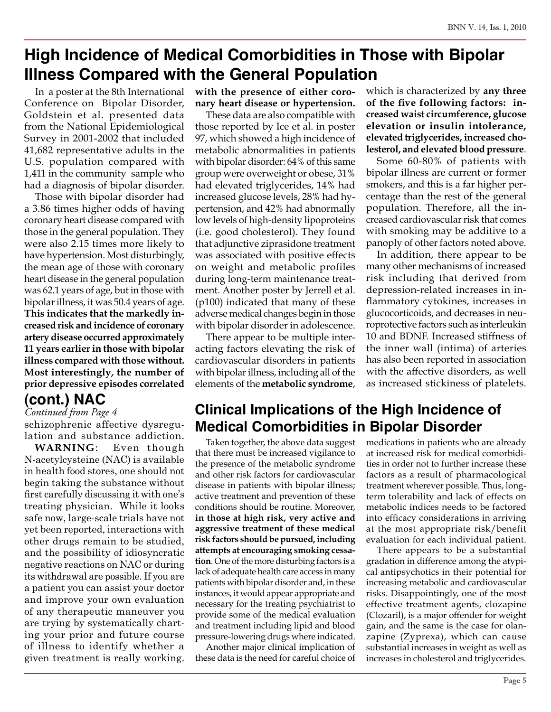# **High Incidence of Medical Comorbidities in Those with Bipolar Illness Compared with the General Population**

In a poster at the 8th International Conference on Bipolar Disorder, Goldstein et al. presented data from the National Epidemiological Survey in 2001-2002 that included 41,682 representative adults in the U.S. population compared with 1,411 in the community sample who had a diagnosis of bipolar disorder.

Those with bipolar disorder had a 3.86 times higher odds of having coronary heart disease compared with those in the general population. They were also 2.15 times more likely to have hypertension. Most disturbingly, the mean age of those with coronary heart disease in the general population was 62.1 years of age, but in those with bipolar illness, it was 50.4 years of age. **This indicates that the markedly increased risk and incidence of coronary artery disease occurred approximately 11 years earlier in those with bipolar illness compared with those without. Most interestingly, the number of prior depressive episodes correlated** 

## **(cont.) NAC**

*Continued from Page 4*

schizophrenic affective dysregulation and substance addiction.

**WARNING**: Even though N-acetylcysteine (NAC) is available in health food stores, one should not begin taking the substance without first carefully discussing it with one's treating physician. While it looks safe now, large-scale trials have not yet been reported, interactions with other drugs remain to be studied, and the possibility of idiosyncratic negative reactions on NAC or during its withdrawal are possible. If you are a patient you can assist your doctor and improve your own evaluation of any therapeutic maneuver you are trying by systematically charting your prior and future course of illness to identify whether a given treatment is really working.

**with the presence of either coronary heart disease or hypertension.**

These data are also compatible with those reported by Ice et al. in poster 97, which showed a high incidence of metabolic abnormalities in patients with bipolar disorder: 64% of this same group were overweight or obese, 31% had elevated triglycerides, 14% had increased glucose levels, 28% had hypertension, and 42% had abnormally low levels of high-density lipoproteins (i.e. good cholesterol). They found that adjunctive ziprasidone treatment was associated with positive effects on weight and metabolic profiles during long-term maintenance treatment. Another poster by Jerrell et al. (p100) indicated that many of these adverse medical changes begin in those with bipolar disorder in adolescence.

There appear to be multiple interacting factors elevating the risk of cardiovascular disorders in patients with bipolar illness, including all of the elements of the **metabolic syndrome**,

which is characterized by **any three of the five following factors: increased waist circumference, glucose elevation or insulin intolerance, elevated triglycerides, increased cholesterol, and elevated blood pressure**.

Some 60-80% of patients with bipolar illness are current or former smokers, and this is a far higher percentage than the rest of the general population. Therefore, all the increased cardiovascular risk that comes with smoking may be additive to a panoply of other factors noted above.

In addition, there appear to be many other mechanisms of increased risk including that derived from depression-related increases in inflammatory cytokines, increases in glucocorticoids, and decreases in neuroprotective factors such as interleukin 10 and BDNF. Increased stiffness of the inner wall (intima) of arteries has also been reported in association with the affective disorders, as well as increased stickiness of platelets.

# **Clinical Implications of the High Incidence of Medical Comorbidities in Bipolar Disorder**

Taken together, the above data suggest that there must be increased vigilance to the presence of the metabolic syndrome and other risk factors for cardiovascular disease in patients with bipolar illness; active treatment and prevention of these conditions should be routine. Moreover, **in those at high risk, very active and aggressive treatment of these medical risk factors should be pursued, including attempts at encouraging smoking cessation**. One of the more disturbing factors is a lack of adequate health care access in many patients with bipolar disorder and, in these instances, it would appear appropriate and necessary for the treating psychiatrist to provide some of the medical evaluation and treatment including lipid and blood pressure-lowering drugs where indicated.

Another major clinical implication of these data is the need for careful choice of medications in patients who are already at increased risk for medical comorbidities in order not to further increase these factors as a result of pharmacological treatment wherever possible. Thus, longterm tolerability and lack of effects on metabolic indices needs to be factored into efficacy considerations in arriving at the most appropriate risk/benefit evaluation for each individual patient.

There appears to be a substantial gradation in difference among the atypical antipsychotics in their potential for increasing metabolic and cardiovascular risks. Disappointingly, one of the most effective treatment agents, clozapine (Clozaril), is a major offender for weight gain, and the same is the case for olanzapine (Zyprexa), which can cause substantial increases in weight as well as increases in cholesterol and triglycerides.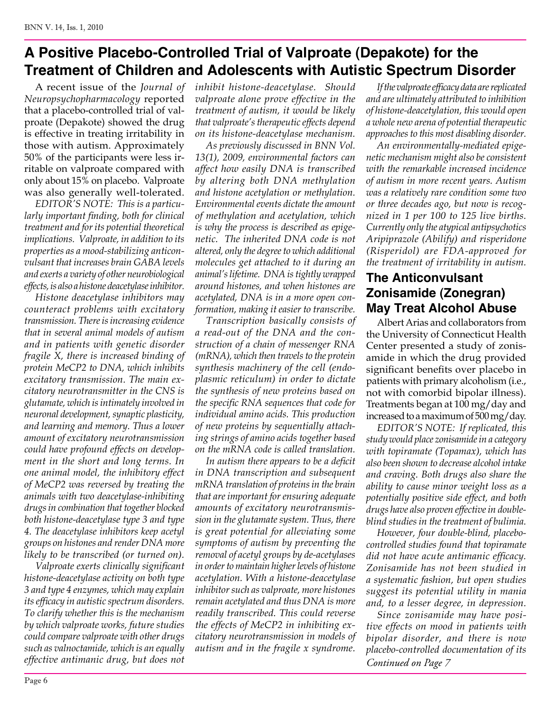## **A Positive Placebo-Controlled Trial of Valproate (Depakote) for the Treatment of Children and Adolescents with Autistic Spectrum Disorder**

A recent issue of the *Journal of Neuropsychopharmacology* reported that a placebo-controlled trial of valproate (Depakote) showed the drug is effective in treating irritability in those with autism. Approximately 50% of the participants were less irritable on valproate compared with only about 15% on placebo. Valproate was also generally well-tolerated.

*EDITOR'S NOTE: This is a particularly important finding, both for clinical treatment and for its potential theoretical implications. Valproate, in addition to its properties as a mood-stabilizing anticonvulsant that increases brain GABA levels and exerts a variety of other neurobiological effects, is also a histone deacetylase inhibitor.* 

*Histone deacetylase inhibitors may counteract problems with excitatory transmission. There is increasing evidence that in several animal models of autism and in patients with genetic disorder fragile X, there is increased binding of protein MeCP2 to DNA, which inhibits excitatory transmission. The main excitatory neurotransmitter in the CNS is glutamate, which is intimately involved in neuronal development, synaptic plasticity, and learning and memory. Thus a lower amount of excitatory neurotransmission could have profound effects on development in the short and long terms. In one animal model, the inhibitory effect of MeCP2 was reversed by treating the animals with two deacetylase-inhibiting drugs in combination that together blocked both histone-deacetylase type 3 and type 4. The deacetylase inhibitors keep acetyl groups on histones and render DNA more likely to be transcribed (or turned on).*

*Valproate exerts clinically significant histone-deacetylase activity on both type 3 and type 4 enzymes, which may explain its efficacy in autistic spectrum disorders. To clarify whether this is the mechanism by which valproate works, future studies could compare valproate with other drugs such as valnoctamide, which is an equally effective antimanic drug, but does not* 

*inhibit histone-deacetylase. Should valproate alone prove effective in the treatment of autism, it would be likely that valproate's therapeutic effects depend on its histone-deacetylase mechanism.*

*As previously discussed in BNN Vol. 13(1), 2009, environmental factors can affect how easily DNA is transcribed by altering both DNA methylation and histone acetylation or methylation. Environmental events dictate the amount of methylation and acetylation, which is why the process is described as epigenetic. The inherited DNA code is not altered, only the degree to which additional molecules get attached to it during an animal's lifetime. DNA is tightly wrapped around histones, and when histones are acetylated, DNA is in a more open conformation, making it easier to transcribe.* 

*Transcription basically consists of a read-out of the DNA and the construction of a chain of messenger RNA (mRNA), which then travels to the protein synthesis machinery of the cell (endoplasmic reticulum) in order to dictate the synthesis of new proteins based on the specific RNA sequences that code for individual amino acids. This production of new proteins by sequentially attaching strings of amino acids together based on the mRNA code is called translation.* 

*In autism there appears to be a deficit in DNA transcription and subsequent mRNA translation of proteins in the brain that are important for ensuring adequate amounts of excitatory neurotransmission in the glutamate system. Thus, there is great potential for alleviating some symptoms of autism by preventing the removal of acetyl groups by de-acetylases in order to maintain higher levels of histone acetylation. With a histone-deacetylase inhibitor such as valproate, more histones remain acetylated and thus DNA is more readily transcribed. This could reverse the effects of MeCP2 in inhibiting excitatory neurotransmission in models of autism and in the fragile x syndrome.*

*If the valproate efficacy data are replicated and are ultimately attributed to inhibition of histone-deacetylation, this would open a whole new arena of potential therapeutic approaches to this most disabling disorder.* 

*An environmentally-mediated epigenetic mechanism might also be consistent with the remarkable increased incidence of autism in more recent years. Autism was a relatively rare condition some two or three decades ago, but now is recognized in 1 per 100 to 125 live births. Currently only the atypical antipsychotics Aripiprazole (Abilify) and risperidone (Risperidol) are FDA-approved for the treatment of irritability in autism.*

## **The Anticonvulsant Zonisamide (Zonegran) May Treat Alcohol Abuse**

Albert Arias and collaborators from the University of Connecticut Health Center presented a study of zonisamide in which the drug provided significant benefits over placebo in patients with primary alcoholism (i.e., not with comorbid bipolar illness). Treatments began at 100 mg/day and increased to a maximum of 500 mg/day.

*EDITOR'S NOTE: If replicated, this study would place zonisamide in a category with topiramate (Topamax), which has also been shown to decrease alcohol intake and craving. Both drugs also share the ability to cause minor weight loss as a potentially positive side effect, and both drugs have also proven effective in doubleblind studies in the treatment of bulimia.* 

*However, four double-blind, placebocontrolled studies found that topiramate did not have acute antimanic efficacy. Zonisamide has not been studied in a systematic fashion, but open studies suggest its potential utility in mania and, to a lesser degree, in depression.* 

*Continued on Page 7 Since zonisamide may have positive effects on mood in patients with bipolar disorder, and there is now placebo-controlled documentation of its*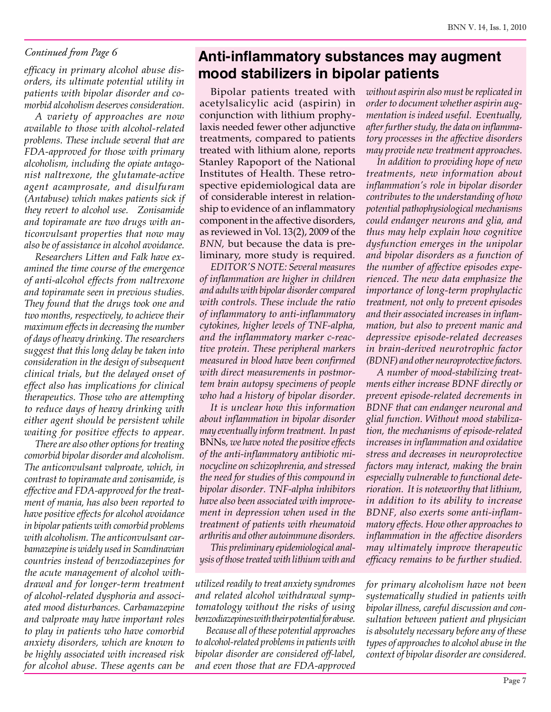#### *Continued from Page 6*

*efficacy in primary alcohol abuse disorders, its ultimate potential utility in patients with bipolar disorder and comorbid alcoholism deserves consideration.*

*A variety of approaches are now available to those with alcohol-related problems. These include several that are FDA-approved for those with primary alcoholism, including the opiate antagonist naltrexone, the glutamate-active agent acamprosate, and disulfuram (Antabuse) which makes patients sick if they revert to alcohol use. Zonisamide and topiramate are two drugs with anticonvulsant properties that now may also be of assistance in alcohol avoidance.* 

*Researchers Litten and Falk have examined the time course of the emergence of anti-alcohol effects from naltrexone and topiramate seen in previous studies. They found that the drugs took one and two months, respectively, to achieve their maximum effects in decreasing the number of days of heavy drinking. The researchers suggest that this long delay be taken into consideration in the design of subsequent clinical trials, but the delayed onset of effect also has implications for clinical therapeutics. Those who are attempting to reduce days of heavy drinking with either agent should be persistent while waiting for positive effects to appear.*

*There are also other options for treating comorbid bipolar disorder and alcoholism. The anticonvulsant valproate, which, in contrast to topiramate and zonisamide, is effective and FDA-approved for the treatment of mania, has also been reported to have positive effects for alcohol avoidance in bipolar patients with comorbid problems with alcoholism. The anticonvulsant carbamazepine is widely used in Scandinavian countries instead of benzodiazepines for the acute management of alcohol withdrawal and for longer-term treatment of alcohol-related dysphoria and associated mood disturbances. Carbamazepine and valproate may have important roles to play in patients who have comorbid anxiety disorders, which are known to be highly associated with increased risk for alcohol abuse. These agents can be* 

## **Anti-inflammatory substances may augment mood stabilizers in bipolar patients**

Bipolar patients treated with acetylsalicylic acid (aspirin) in conjunction with lithium prophylaxis needed fewer other adjunctive treatments, compared to patients treated with lithium alone, reports Stanley Rapoport of the National Institutes of Health. These retrospective epidemiological data are of considerable interest in relationship to evidence of an inflammatory component in the affective disorders, as reviewed in Vol. 13(2), 2009 of the *BNN,* but because the data is preliminary, more study is required*.*

*EDITOR'S NOTE: Several measures of inflammation are higher in children and adults with bipolar disorder compared with controls. These include the ratio of inflammatory to anti-inflammatory cytokines, higher levels of TNF-alpha, and the inflammatory marker c-reactive protein. These peripheral markers measured in blood have been confirmed with direct measurements in postmortem brain autopsy specimens of people who had a history of bipolar disorder.* 

*It is unclear how this information about inflammation in bipolar disorder may eventually inform treatment. In past*  BNNs*, we have noted the positive effects of the anti-inflammatory antibiotic minocycline on schizophrenia, and stressed the need for studies of this compound in bipolar disorder. TNF-alpha inhibitors have also been associated with improvement in depression when used in the treatment of patients with rheumatoid arthritis and other autoimmune disorders.* 

*This preliminary epidemiological analysis of those treated with lithium with and* 

*utilized readily to treat anxiety syndromes and related alcohol withdrawal symptomatology without the risks of using benzodiazepines with their potential for abuse.* 

*Because all of these potential approaches to alcohol-related problems in patients with bipolar disorder are considered off-label, and even those that are FDA-approved*  *without aspirin also must be replicated in order to document whether aspirin augmentation is indeed useful. Eventually, after further study, the data on inflammatory processes in the affective disorders may provide new treatment approaches.*

*In addition to providing hope of new treatments, new information about inflammation's role in bipolar disorder contributes to the understanding of how potential pathophysiological mechanisms could endanger neurons and glia, and thus may help explain how cognitive dysfunction emerges in the unipolar and bipolar disorders as a function of the number of affective episodes experienced. The new data emphasize the importance of long-term prophylactic treatment, not only to prevent episodes and their associated increases in inflammation, but also to prevent manic and depressive episode-related decreases in brain-derived neurotrophic factor (BDNF) and other neuroprotective factors.* 

*A number of mood-stabilizing treatments either increase BDNF directly or prevent episode-related decrements in BDNF that can endanger neuronal and glial function. Without mood stabilization, the mechanisms of episode-related increases in inflammation and oxidative stress and decreases in neuroprotective factors may interact, making the brain especially vulnerable to functional deterioration. It is noteworthy that lithium, in addition to its ability to increase BDNF, also exerts some anti-inflammatory effects. How other approaches to inflammation in the affective disorders may ultimately improve therapeutic efficacy remains to be further studied.*

*for primary alcoholism have not been systematically studied in patients with bipolar illness, careful discussion and consultation between patient and physician is absolutely necessary before any of these types of approaches to alcohol abuse in the context of bipolar disorder are considered.*